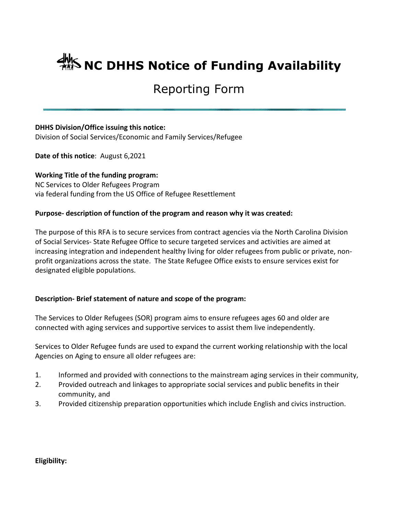# **ANS NC DHHS Notice of Funding Availability**

## Reporting Form

#### **DHHS Division/Office issuing this notice:**

Division of Social Services/Economic and Family Services/Refugee

**Date of this notice**: August 6,2021

**Working Title of the funding program:** NC Services to Older Refugees Program via federal funding from the US Office of Refugee Resettlement

### **Purpose- description of function of the program and reason why it was created:**

The purpose of this RFA is to secure services from contract agencies via the North Carolina Division of Social Services- State Refugee Office to secure targeted services and activities are aimed at increasing integration and independent healthy living for older refugees from public or private, nonprofit organizations across the state. The State Refugee Office exists to ensure services exist for designated eligible populations.

### **Description- Brief statement of nature and scope of the program:**

The Services to Older Refugees (SOR) program aims to ensure refugees ages 60 and older are connected with aging services and supportive services to assist them live independently.

Services to Older Refugee funds are used to expand the current working relationship with the local Agencies on Aging to ensure all older refugees are:

- 1. Informed and provided with connections to the mainstream aging services in their community,
- 2. Provided outreach and linkages to appropriate social services and public benefits in their community, and
- 3. Provided citizenship preparation opportunities which include English and civics instruction.

**Eligibility:**